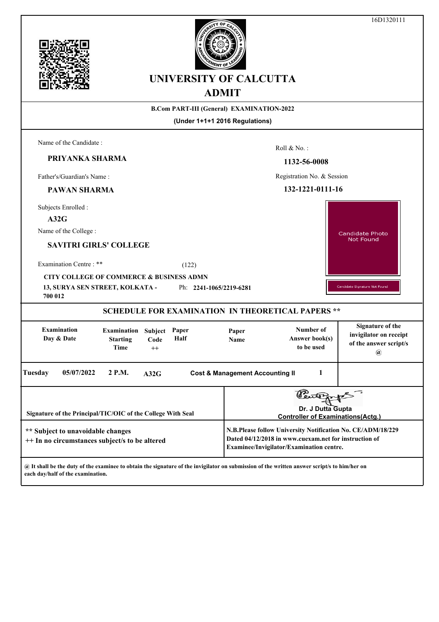|                                                                                                                                                                                                          |                                               |                            |               | <b>UNIVERSITY OF CALCUTTA</b><br><b>ADMIT</b>    |                                                                                                                                                                  | 10D1320111                                                                                 |  |
|----------------------------------------------------------------------------------------------------------------------------------------------------------------------------------------------------------|-----------------------------------------------|----------------------------|---------------|--------------------------------------------------|------------------------------------------------------------------------------------------------------------------------------------------------------------------|--------------------------------------------------------------------------------------------|--|
|                                                                                                                                                                                                          |                                               |                            |               | <b>B.Com PART-III (General) EXAMINATION-2022</b> |                                                                                                                                                                  |                                                                                            |  |
|                                                                                                                                                                                                          |                                               |                            |               | (Under 1+1+1 2016 Regulations)                   |                                                                                                                                                                  |                                                                                            |  |
| Name of the Candidate:<br>PRIYANKA SHARMA                                                                                                                                                                |                                               |                            |               |                                                  | Roll & No.:<br>1132-56-0008                                                                                                                                      |                                                                                            |  |
| Father's/Guardian's Name:                                                                                                                                                                                |                                               |                            |               |                                                  | Registration No. & Session                                                                                                                                       |                                                                                            |  |
| <b>PAWAN SHARMA</b>                                                                                                                                                                                      |                                               |                            |               |                                                  | 132-1221-0111-16                                                                                                                                                 |                                                                                            |  |
| Subjects Enrolled :<br>A32G<br>Name of the College:<br><b>SAVITRI GIRLS' COLLEGE</b><br>Examination Centre: **<br>CITY COLLEGE OF COMMERCE & BUSINESS ADMN<br>13, SURYA SEN STREET, KOLKATA -<br>700 012 |                                               |                            | (122)         | Ph: 2241-1065/2219-6281                          |                                                                                                                                                                  | Candidate Photo<br><b>Not Found</b><br>Candidate Signature Not Found                       |  |
|                                                                                                                                                                                                          |                                               |                            |               |                                                  | <b>SCHEDULE FOR EXAMINATION IN THEORETICAL PAPERS **</b>                                                                                                         |                                                                                            |  |
| <b>Examination</b><br>Day & Date                                                                                                                                                                         | <b>Examination</b><br><b>Starting</b><br>Time | Subject<br>Code<br>$^{++}$ | Paper<br>Half | Paper<br>Name                                    | Number of<br>Answer book(s)<br>to be used                                                                                                                        | <b>Signature of the</b><br>invigilator on receipt<br>of the answer script/s<br>$\circledR$ |  |
| Tuesday<br>05/07/2022                                                                                                                                                                                    | 2 P.M.                                        | A32G                       |               | <b>Cost &amp; Management Accounting II</b>       | 1                                                                                                                                                                |                                                                                            |  |
| Signature of the Principal/TIC/OIC of the College With Seal                                                                                                                                              |                                               |                            |               |                                                  | Dr. J Dutta Gupta<br><b>Controller of Examinations(Actg.)</b>                                                                                                    |                                                                                            |  |
| ** Subject to unavoidable changes<br>++ In no circumstances subject/s to be altered                                                                                                                      |                                               |                            |               |                                                  | N.B.Please follow University Notification No. CE/ADM/18/229<br>Dated 04/12/2018 in www.cuexam.net for instruction of<br>Examinee/Invigilator/Examination centre. |                                                                                            |  |
| @ It shall be the duty of the examinee to obtain the signature of the invigilator on submission of the written answer script/s to him/her on<br>each day/half of the examination.                        |                                               |                            |               |                                                  |                                                                                                                                                                  |                                                                                            |  |

16D1320111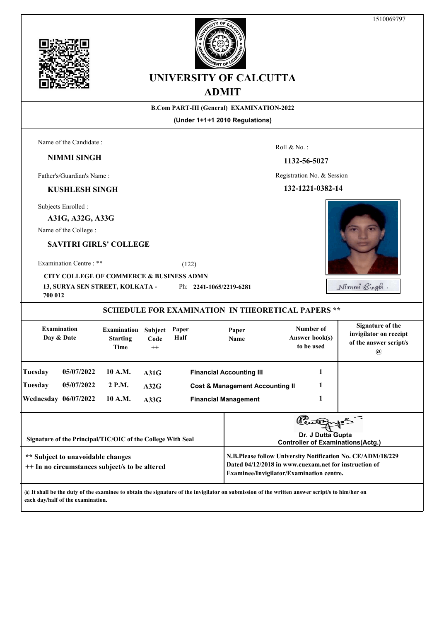



# **UNIVERSITY OF CALCUTTA ADMIT**

#### **B.Com PART-III (General) EXAMINATION-2022**

**(Under 1+1+1 2010 Regulations)**

Name of the Candidate :

# **NIMMI SINGH**

Father's/Guardian's Name :

### **KUSHLESH SINGH**

Subjects Enrolled :

**A31G, A32G, A33G**

Name of the College :

# **SAVITRI GIRLS' COLLEGE**

Examination Centre : \*\* (122)

## **CITY COLLEGE OF COMMERCE & BUSINESS ADMN**

**13, SURYA SEN STREET, KOLKATA -**  Ph: **2241-1065/2219-6281**

**700 012**

| <b>Examination</b><br>Day & Date                                                    |                             | <b>Examination</b><br><b>Starting</b><br>Time               | <b>Subject</b><br>Code<br>$++$ | Paper<br>Half                                                                      | Paper<br><b>Name</b>        | Number of<br>Answer book(s)<br>to be used                                                                                                                        | Signature of the<br>invigilator on receipt<br>of the answer script/s<br>$\mathbf{a}$ |  |
|-------------------------------------------------------------------------------------|-----------------------------|-------------------------------------------------------------|--------------------------------|------------------------------------------------------------------------------------|-----------------------------|------------------------------------------------------------------------------------------------------------------------------------------------------------------|--------------------------------------------------------------------------------------|--|
| Tuesday<br>Tuesday                                                                  | 05/07/2022<br>05/07/2022    | 10 A.M.<br>2 P.M.                                           | A31G<br>A32G                   | <b>Financial Accounting III</b><br>1<br><b>Cost &amp; Management Accounting II</b> |                             |                                                                                                                                                                  |                                                                                      |  |
|                                                                                     | <b>Wednesday 06/07/2022</b> | 10 A.M.                                                     | A33G                           |                                                                                    | <b>Financial Management</b> |                                                                                                                                                                  |                                                                                      |  |
|                                                                                     |                             | Signature of the Principal/TIC/OIC of the College With Seal |                                |                                                                                    |                             | Dr. J Dutta Gupta<br><b>Controller of Examinations(Actg.)</b>                                                                                                    |                                                                                      |  |
| ** Subject to unavoidable changes<br>++ In no circumstances subject/s to be altered |                             |                                                             |                                |                                                                                    |                             | N.B.Please follow University Notification No. CE/ADM/18/229<br>Dated 04/12/2018 in www.cuexam.net for instruction of<br>Examinee/Invigilator/Examination centre. |                                                                                      |  |

**@ It shall be the duty of the examinee to obtain the signature of the invigilator on submission of the written answer script/s to him/her on each day/half of the examination.**

Roll & No. :

#### **1132-56-5027**

Registration No. & Session

#### **132-1221-0382-14**



Nimmi Bingh.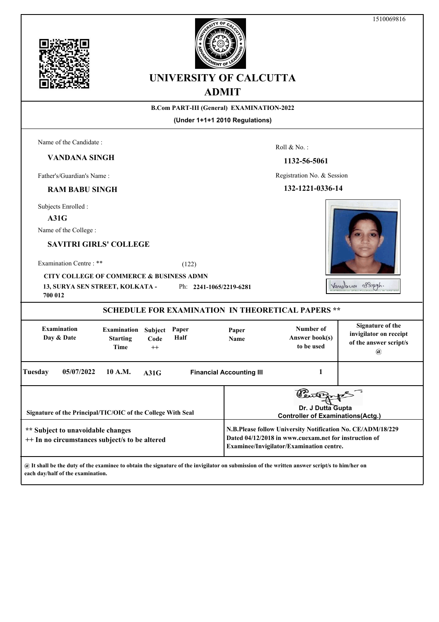



# **UNIVERSITY OF CALCUTTA ADMIT**

#### **B.Com PART-III (General) EXAMINATION-2022**

**(Under 1+1+1 2010 Regulations)**

Roll & No. :

Registration No. & Session

**1132-56-5061**

Name of the Candidate :

**VANDANA SINGH**

Father's/Guardian's Name :

## **RAM BABU SINGH**

Subjects Enrolled :

**A31G**

Name of the College :

## **SAVITRI GIRLS' COLLEGE**

Examination Centre : \*\* (122)

**CITY COLLEGE OF COMMERCE & BUSINESS ADMN**

**13, SURYA SEN STREET, KOLKATA -**  Ph: **2241-1065/2219-6281**

**700 012**

**SCHEDULE FOR EXAMINATION IN THEORETICAL PAPERS \*\* Signature of the Examination Number of Examination Subject Paper Paper invigilator on receipt Day & Date Starting Half Answer book(s) Code Name of the answer script/s Time to be used ++ @ Tuesday 10 A.M. 05/07/2022 A31G Financial Accounting III 1** ใP. ธ **Dr. J Dutta Gupta Signature of the Principal/TIC/OIC of the College With Seal Controller of Examinations(Actg.)N.B.Please follow University Notification No. CE/ADM/18/229 \*\* Subject to unavoidable changes Dated 04/12/2018 in www.cuexam.net for instruction of ++ In no circumstances subject/s to be altered Examinee/Invigilator/Examination centre.**

**@ It shall be the duty of the examinee to obtain the signature of the invigilator on submission of the written answer script/s to him/her on each day/half of the examination.**

Vandance Bloggh.

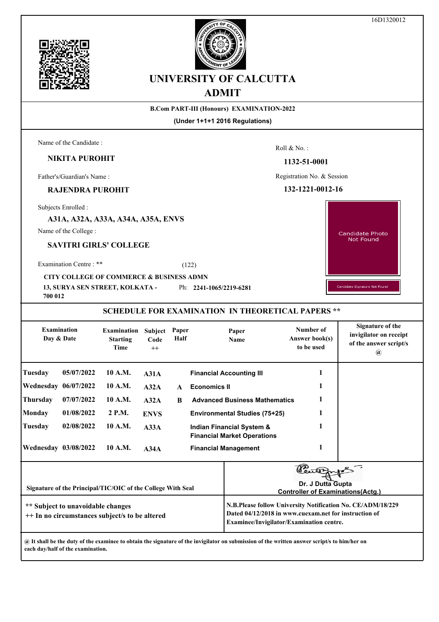16D1320012





# **UNIVERSITY OF CALCUTTA ADMIT**

### **B.Com PART-III (Honours) EXAMINATION-2022**

**(Under 1+1+1 2016 Regulations)**

Name of the Candidate :

# **NIKITA PUROHIT**

Father's/Guardian's Name :

# **RAJENDRA PUROHIT**

Subjects Enrolled :

**A31A, A32A, A33A, A34A, A35A, ENVS**

Name of the College :

## **SAVITRI GIRLS' COLLEGE**

Examination Centre : \*\* (122)

**CITY COLLEGE OF COMMERCE & BUSINESS ADMN**

**13, SURYA SEN STREET, KOLKATA -**  Ph: **2241-1065/2219-6281**

**700 012**

# **SCHEDULE FOR EXAMINATION IN THEORETICAL PAPERS \*\***

| <b>Examination</b><br>Day & Date |                                   | <b>Examination</b><br><b>Starting</b><br><b>Time</b>        | Subject<br>Code<br>$++$ | Paper<br>Half               | Paper<br>Name                                                              | Number of<br><b>Answer book(s)</b><br>to be used                                                                                                                 | Signature of the<br>invigilator on receipt<br>of the answer script/s<br>$\omega$ |
|----------------------------------|-----------------------------------|-------------------------------------------------------------|-------------------------|-----------------------------|----------------------------------------------------------------------------|------------------------------------------------------------------------------------------------------------------------------------------------------------------|----------------------------------------------------------------------------------|
| Tuesday                          | 05/07/2022                        | 10 A.M.                                                     | A31A                    |                             | <b>Financial Accounting III</b>                                            | 1                                                                                                                                                                |                                                                                  |
| <b>Wednesday 06/07/2022</b>      |                                   | 10 A.M.                                                     | A32A                    | $\mathbf{A}$                | <b>Economics II</b>                                                        |                                                                                                                                                                  |                                                                                  |
| Thursday                         | 07/07/2022                        | 10 A.M.                                                     | A32A                    | <sup>B</sup>                | <b>Advanced Business Mathematics</b>                                       | 1                                                                                                                                                                |                                                                                  |
| Monday                           | 01/08/2022                        | 2 P.M.                                                      | <b>ENVS</b>             |                             | <b>Environmental Studies (75+25)</b>                                       |                                                                                                                                                                  |                                                                                  |
| Tuesday                          | 02/08/2022                        | 10 A.M.                                                     | A33A                    |                             | <b>Indian Financial System &amp;</b><br><b>Financial Market Operations</b> |                                                                                                                                                                  |                                                                                  |
| <b>Wednesday 03/08/2022</b>      |                                   | 10 A.M.                                                     | A34A                    | <b>Financial Management</b> |                                                                            | 1                                                                                                                                                                |                                                                                  |
|                                  |                                   | Signature of the Principal/TIC/OIC of the College With Seal |                         |                             |                                                                            | Dr. J Dutta Gupta                                                                                                                                                | <b>Controller of Examinations (Actg.)</b>                                        |
|                                  | ** Subject to unavoidable changes | ++ In no circumstances subject/s to be altered              |                         |                             |                                                                            | N.B.Please follow University Notification No. CE/ADM/18/229<br>Dated 04/12/2018 in www.cuexam.net for instruction of<br>Examinee/Invigilator/Examination centre. |                                                                                  |

**@ It shall be the duty of the examinee to obtain the signature of the invigilator on submission of the written answer script/s to him/her on each day/half of the examination.**

Roll & No. :

#### **1132-51-0001**

Registration No. & Session

#### **132-1221-0012-16**

Candidate Photo Not Found

Candidate Signature Not Found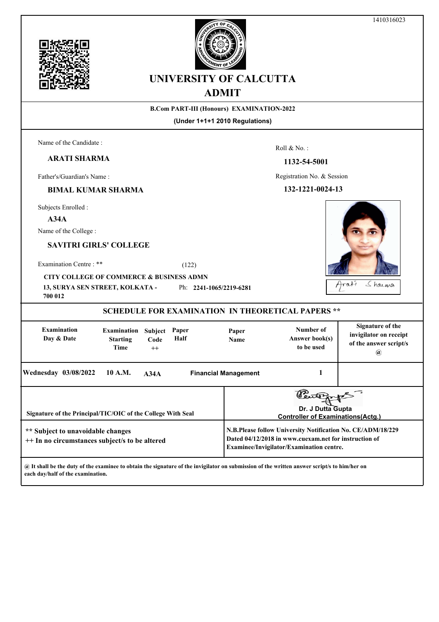



# **UNIVERSITY OF CALCUTTA ADMIT**

## **B.Com PART-III (Honours) EXAMINATION-2022**

**(Under 1+1+1 2010 Regulations)**

Name of the Candidate :

**ARATI SHARMA**

Father's/Guardian's Name :

### **BIMAL KUMAR SHARMA**

Subjects Enrolled :

**A34A**

Name of the College :

## **SAVITRI GIRLS' COLLEGE**

Examination Centre : \*\* (122)

**CITY COLLEGE OF COMMERCE & BUSINESS ADMN**

**13, SURYA SEN STREET, KOLKATA -**  Ph: **2241-1065/2219-6281**

| 700 012                                                                             |                                                |                                |               |                      |                                                                                                                                                                  |                                                                                                       |  |  |  |
|-------------------------------------------------------------------------------------|------------------------------------------------|--------------------------------|---------------|----------------------|------------------------------------------------------------------------------------------------------------------------------------------------------------------|-------------------------------------------------------------------------------------------------------|--|--|--|
| <b>SCHEDULE FOR EXAMINATION IN THEORETICAL PAPERS **</b>                            |                                                |                                |               |                      |                                                                                                                                                                  |                                                                                                       |  |  |  |
| <b>Examination</b><br>Day & Date                                                    | <b>Examination</b><br><b>Starting</b><br>Time  | <b>Subject</b><br>Code<br>$++$ | Paper<br>Half | Paper<br><b>Name</b> | Number of<br>Answer book(s)<br>to be used                                                                                                                        | Signature of the<br>invigilator on receipt<br>of the answer script/s<br>$\left(\boldsymbol{a}\right)$ |  |  |  |
| <b>Wednesday 03/08/2022</b>                                                         | 10 A.M.<br><b>Financial Management</b><br>A34A |                                |               |                      |                                                                                                                                                                  |                                                                                                       |  |  |  |
| Signature of the Principal/TIC/OIC of the College With Seal                         |                                                |                                |               |                      | Dr. J Dutta Gupta<br><b>Controller of Examinations(Actg.)</b>                                                                                                    |                                                                                                       |  |  |  |
| ** Subject to unavoidable changes<br>++ In no circumstances subject/s to be altered |                                                |                                |               |                      | N.B.Please follow University Notification No. CE/ADM/18/229<br>Dated 04/12/2018 in www.cuexam.net for instruction of<br>Examinee/Invigilator/Examination centre. |                                                                                                       |  |  |  |
|                                                                                     |                                                |                                |               |                      |                                                                                                                                                                  |                                                                                                       |  |  |  |

**@ It shall be the duty of the examinee to obtain the signature of the invigilator on submission of the written answer script/s to him/her on each day/half of the examination.**

Roll & No. :

Registration No. & Session

**1132-54-5001**

**132-1221-0024-13**

Sharma Arati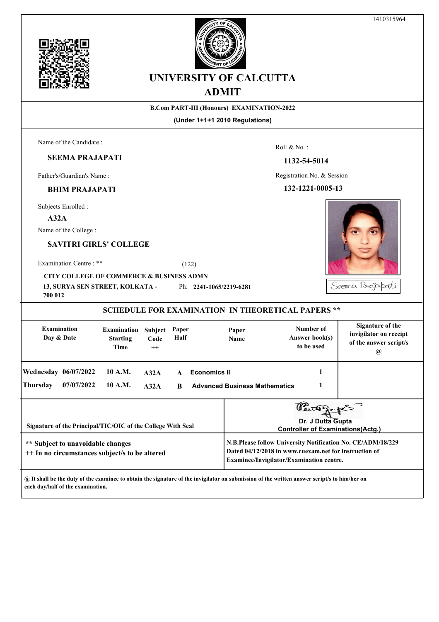



# **UNIVERSITY OF CALCUTTA ADMIT**

#### **B.Com PART-III (Honours) EXAMINATION-2022**

**(Under 1+1+1 2010 Regulations)**

Roll & No. :

Registration No. & Session

**1132-54-5014**

**132-1221-0005-13**

Name of the Candidate :

# **SEEMA PRAJAPATI**

Father's/Guardian's Name :

#### **BHIM PRAJAPATI**

Subjects Enrolled :

#### **A32A**

Name of the College :

## **SAVITRI GIRLS' COLLEGE**

Examination Centre : \*\* (122)

**CITY COLLEGE OF COMMERCE & BUSINESS ADMN**

**13, SURYA SEN STREET, KOLKATA -**  Ph: **2241-1065/2219-6281**

| 700 012                                                                                                                                            |            |                                               |                         |                   |                     |                                      |                                                                                                                                                                     |                                                                                    |
|----------------------------------------------------------------------------------------------------------------------------------------------------|------------|-----------------------------------------------|-------------------------|-------------------|---------------------|--------------------------------------|---------------------------------------------------------------------------------------------------------------------------------------------------------------------|------------------------------------------------------------------------------------|
|                                                                                                                                                    |            |                                               |                         |                   |                     |                                      | <b>SCHEDULE FOR EXAMINATION IN THEORETICAL PAPERS **</b>                                                                                                            |                                                                                    |
| <b>Examination</b><br>Day & Date                                                                                                                   |            | <b>Examination</b><br><b>Starting</b><br>Time | Subject<br>Code<br>$++$ | Paper<br>Half     |                     | Paper<br>Name                        | Number of<br>Answer book(s)<br>to be used                                                                                                                           | Signature of the<br>invigilator on receipt<br>of the answer script/s<br>$^{\,a\,}$ |
| <b>Wednesday 06/07/2022</b><br>Thursday                                                                                                            | 07/07/2022 | 10 A.M.<br>10 A.M.                            | A32A<br>A32A            | $\mathbf{A}$<br>R | <b>Economics II</b> | <b>Advanced Business Mathematics</b> |                                                                                                                                                                     |                                                                                    |
| Signature of the Principal/TIC/OIC of the College With Seal<br>** Subject to unavoidable changes<br>++ In no circumstances subject/s to be altered |            |                                               |                         |                   |                     |                                      | Dr. J Dutta Gupta<br><b>Controller of Examinations (Actg.)</b><br>Dated 04/12/2018 in www.cuexam.net for instruction of<br>Examinee/Invigilator/Examination centre. | N.B.Please follow University Notification No. CE/ADM/18/229                        |
|                                                                                                                                                    |            |                                               |                         |                   |                     |                                      |                                                                                                                                                                     |                                                                                    |

**@ It shall be the duty of the examinee to obtain the signature of the invigilator on submission of the written answer script/s to him/her on each day/half of the examination.**

Sæma Porajapati